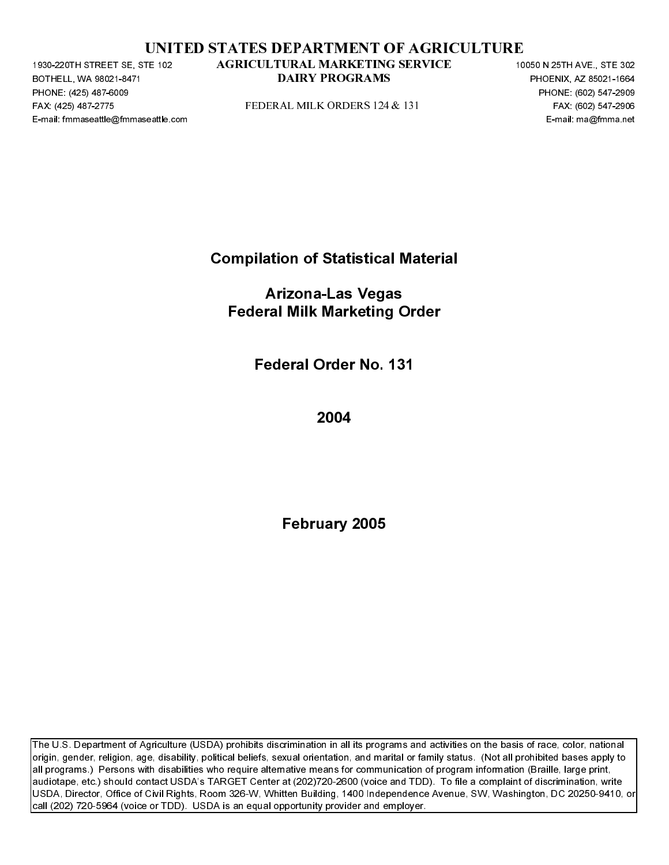|  | UNITED STATES DEPARTMENT OF AGRICULTURE |  |  |
|--|-----------------------------------------|--|--|
|  |                                         |  |  |

BOTHELL, WA 98021-8471<br>BOTHELL, WA 98021-8471<br>PHONE: (425) 487-6009<br>FAX: (425) 487-6009<br>E-mail: fmmaseattle@fmmaseattle.c PHONE: (425) 487-6009<br>FAX: (425) 487-6009<br>FAX: (425) 487-2775<br>E-mail: fmmaseattle@fmma FAX: (425) 487-2271 STATED STATES DEPARTMENT OF AGRICULTURE<br>
FAX: (425) 487-1476-2 AGRICULTURAL MARKEITNG SERVICE<br>
FOR AL AND FROM ARRIVE TO THE CONSULT OF THE CONSULT OF THE CONSULT CONSULTS (FOR A CHOICH OF THE CONSULTS

Compilation of Statistical Material

PAX: (426) 487-2776<br>
PERSENTENCE COMPILE ON THE CONDUCT OF STATISTICS (1914)<br>
PERSENTENCE COMPILE COMPILE COMPILE<br>
PERSENTENCE COMPILE COMPILE COMPILE COMPILE COMPILE COMPILE COMPILE COMPILE COMPILE COMPILE COMPILE COMPILE E-mail: Fmma<br>| Arizona-Las Vegas<br>| Federal Milk Marketing Order<br>| Federal Order No. 131<br>| 2004<br>| February 2005 Arizona-Las Vegas Federal Milk Marketing Order

Federal Order No. 131

2004

February 2005

**PACK TROGRAMS**<br>
PHONE, 600 STATES<br>
FINDERAL MILK ORDERS 124 & 131<br>
PRODUCED TRAC (602) STATES<br>
FOR CONSISTING SERVICE 100 OF STATES INCREDIBATION OF STATES INTO A REPORT of the STATES INTERFERENCE<br>
Federal Order No. 131<br> DAIRY ORDERS 124 & 131<br>
PERSON SEARCH PROGRAMS<br>
FAX: 8022547-2006<br>
E-ma : maghtenna set<br>
DAIRY PROGRAMS PHOTO<br>
E-ma : maghtenna set<br>
DAIRY PROGRAMS PHOTO<br>
DAIRY 2005<br>
DRIGHT PROGRAMS PHOTO TO THE BEST CONCLUSE TO THE CONST The U.S. Department of Agriculture (USDA) prohibits discrimination in all its programs and activities on the basis of race, color, national origin, gender, religion, age, disability, political beliefs, sexual orientation, and marital or family status. (Not all prohibited bases apply to all programs.) Persons with disabilities who require alternative means for communication of program information (Braille, large print, audiotape, etc.) should contact USDA's TARGET Center at (202)720-2600 (voice and TDD). To file a complaint of discrimination, write USDA, Director, Office of Civil Rights, Room 326-W, Whitten Building, 1400 Independence Avenue, SW, Washington, DC 20250-9410, or call (202) 720-5964 (voice or TDD). USDA is an equal opportunity provider and employer. TE-32<br>
AGRICULTURAL MARKETTING SERVICE<br>
DAIRY PROGRAMS<br>
PEDERAL MILK ORDERS 124 & 131<br>
Compilation of Statistical Material<br>
Arizona-Las Vegas<br>
Federal Milk Marketing Order<br>
Federal Milk Marketing Order<br>
Federal Order No. 1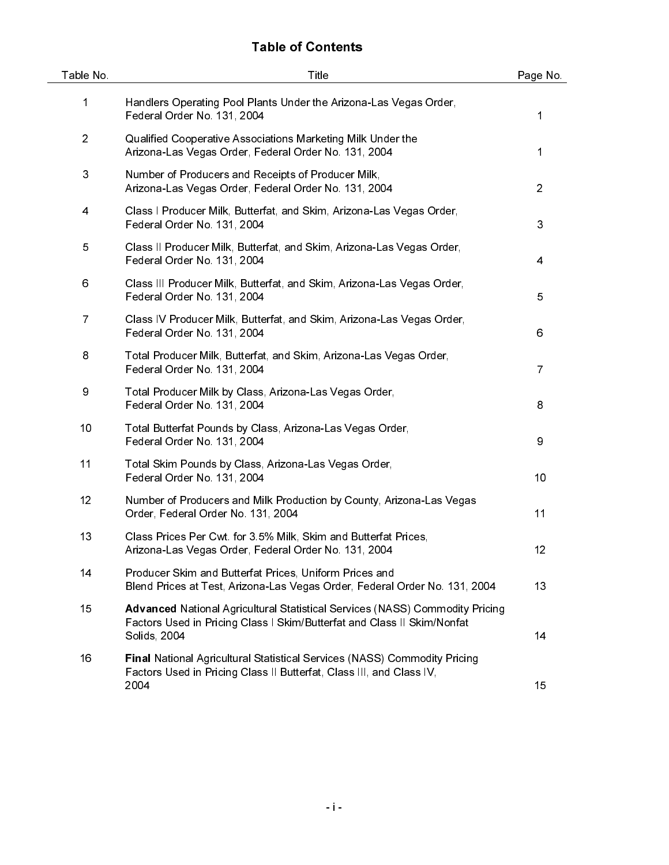# Table of Contents

| Table No.      | Title                                                                                                                                                                          | Page No.       |
|----------------|--------------------------------------------------------------------------------------------------------------------------------------------------------------------------------|----------------|
| 1              | Handlers Operating Pool Plants Under the Arizona-Las Vegas Order,<br>Federal Order No. 131, 2004                                                                               | 1              |
| $\overline{2}$ | Qualified Cooperative Associations Marketing Milk Under the<br>Arizona-Las Vegas Order, Federal Order No. 131, 2004                                                            | 1              |
| 3              | Number of Producers and Receipts of Producer Milk,<br>Arizona-Las Vegas Order, Federal Order No. 131, 2004                                                                     | $\overline{2}$ |
| 4              | Class I Producer Milk, Butterfat, and Skim, Arizona-Las Vegas Order,<br>Federal Order No. 131, 2004                                                                            | 3              |
| 5              | Class II Producer Milk, Butterfat, and Skim, Arizona-Las Vegas Order,<br>Federal Order No. 131, 2004                                                                           | $\overline{4}$ |
| 6              | Class III Producer Milk, Butterfat, and Skim, Arizona-Las Vegas Order,<br>Federal Order No. 131, 2004                                                                          | 5              |
| $\overline{7}$ | Class IV Producer Milk, Butterfat, and Skim, Arizona-Las Vegas Order,<br>Federal Order No. 131, 2004                                                                           | 6              |
| 8              | Total Producer Milk, Butterfat, and Skim, Arizona-Las Vegas Order,<br>Federal Order No. 131, 2004                                                                              | $\overline{7}$ |
| 9              | Total Producer Milk by Class, Arizona-Las Vegas Order,<br>Federal Order No. 131, 2004                                                                                          | 8              |
| 10             | Total Butterfat Pounds by Class, Arizona-Las Vegas Order,<br>Federal Order No. 131, 2004                                                                                       | 9              |
| 11             | Total Skim Pounds by Class, Arizona-Las Vegas Order,<br>Federal Order No. 131, 2004                                                                                            | 10             |
| 12             | Number of Producers and Milk Production by County, Arizona-Las Vegas<br>Order, Federal Order No. 131, 2004                                                                     | 11             |
| 13             | Class Prices Per Cwt for 3.5% Milk, Skim and Butterfat Prices,<br>Arizona-Las Vegas Order, Federal Order No. 131, 2004                                                         | 12             |
| 14             | Producer Skim and Butterfat Prices, Uniform Prices and<br>Blend Prices at Test, Arizona-Las Vegas Order, Federal Order No. 131, 2004                                           | 13             |
| 15             | <b>Advanced National Agricultural Statistical Services (NASS) Commodity Pricing</b><br>Factors Used in Pricing Class I Skim/Butterfat and Class II Skim/Nonfat<br>Solids, 2004 | 14             |
| 16             | <b>Final National Agricultural Statistical Services (NASS) Commodity Pricing</b><br>Factors Used in Pricing Class II Butterfat, Class III, and Class IV,<br>2004               | 15             |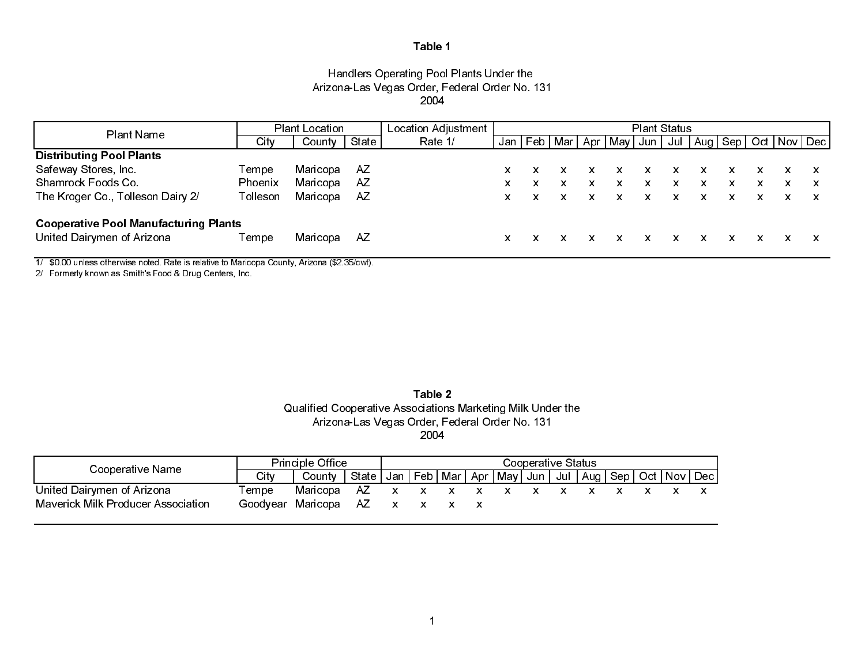# Handlers Operating Pool Plants Under the Arizona-Las Vegas Order, Federal Order No. 131 2004

| Plant Name                                   | <b>Plant Location</b> |          | Location Adjustment | <b>Plant Status</b> |    |   |  |   |                             |       |   |                                                |   |    |  |  |
|----------------------------------------------|-----------------------|----------|---------------------|---------------------|----|---|--|---|-----------------------------|-------|---|------------------------------------------------|---|----|--|--|
|                                              | City                  | County   | State               | Rate 1/             |    |   |  |   | Jan   Feb   Mar   Apr   May | Jun I |   | Jul   Aug   Sep   Oct   Nov   Dec <sub> </sub> |   |    |  |  |
| <b>Distributing Pool Plants</b>              |                       |          |                     |                     |    |   |  |   |                             |       |   |                                                |   |    |  |  |
| Safeway Stores, Inc.                         | Tempe                 | Maricopa | AZ.                 |                     | X. |   |  |   | x                           |       | x |                                                |   |    |  |  |
| Shamrock Foods Co.                           | Phoenix               | Maricopa | AZ                  |                     | x  | x |  | x | x                           | x     | x | x                                              | x | X. |  |  |
| The Kroger Co., Tolleson Dairy 2/            | Tolleson              | Maricopa | AZ                  |                     | x  |   |  | x | x                           | X.    | x | x                                              |   |    |  |  |
| <b>Cooperative Pool Manufacturing Plants</b> |                       |          |                     |                     |    |   |  |   |                             |       |   |                                                |   |    |  |  |
| United Dairymen of Arizona                   | Tempe                 | Maricopa | AZ                  |                     | x  |   |  |   |                             |       |   |                                                |   |    |  |  |

1/ \$0.00 unless otherwise noted. Rate is relative to Maricopa County, Arizona (\$2.35/cwt).

2/ Formerly known as Smith's Food & Drug Centers, Inc.

Table 2Qualified Cooperative Associations Marketing Milk Under the Arizona-Las Vegas Order, Federal Order No. 131 2004

| Cooperative Name                          | <b>Principle Office</b> |          | Cooperative Status                                                            |  |                           |  |  |  |  |  |  |  |  |  |
|-------------------------------------------|-------------------------|----------|-------------------------------------------------------------------------------|--|---------------------------|--|--|--|--|--|--|--|--|--|
|                                           | City                    | County   | State   Jan   Feb   Mar   Apr   May   Jun   Jul   Aug   Sep   Oct   Nov   Dec |  |                           |  |  |  |  |  |  |  |  |  |
| United Dairymen of Arizona                | Tempe                   | Maricopa | AZ                                                                            |  | $\mathsf{x}$ $\mathsf{x}$ |  |  |  |  |  |  |  |  |  |
| <b>Maverick Milk Producer Association</b> | Goodvear Maricopa       |          | AZ.                                                                           |  |                           |  |  |  |  |  |  |  |  |  |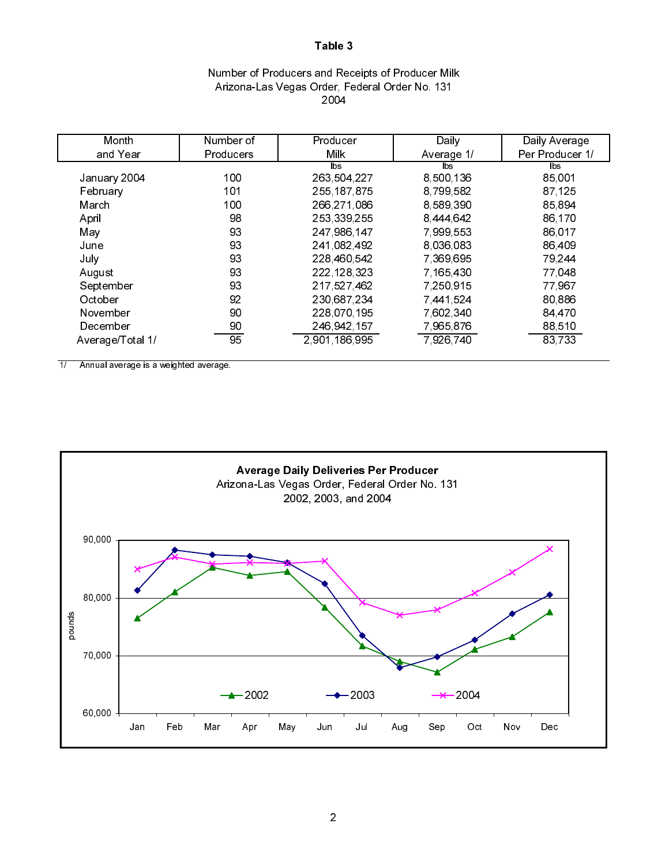# Number of Producers and Receipts of Producer Milk Arizona-Las Vegas Order, Federal Order No. 131 2004

| Month            | Number of | Producer      | Daily         | Daily Average   |
|------------------|-----------|---------------|---------------|-----------------|
| and Year         | Producers | Milk          | Average 1/    | Per Producer 1/ |
|                  |           | lbs.          | lbs.          | lbs             |
| January 2004     | 100       | 263 504 227   | 8,500,136     | 85,001          |
| February         | 101       | 255 187 875   | 8,799,582     | 87 125          |
| March            | 100       | 266 271 086   | 8 589 390     | 85,894          |
| April            | 98        | 253 339 255   | 8 444 642     | 86,170          |
| May              | 93        | 247 986 147   | 7 999 553     | 86,017          |
| June             | 93        | 241,082,492   | 8 0 3 6 0 8 3 | 86,409          |
| July             | 93        | 228 460 542   | 7 369 695     | 79,244          |
| August           | 93        | 222 128 323   | 7 165 430     | 77,048          |
| September        | 93        | 217 527 462   | 7,250,915     | 77967           |
| October          | 92        | 230,687,234   | 7 441 524     | 80,886          |
| November         | 90        | 228,070,195   | 7 602 340     | 84 470          |
| December         | 90        | 246, 942, 157 | 7,965,876     | 88,510          |
| Average/Total 1/ | 95        | 2 901 186 995 | 7 926 740     | 83,733          |

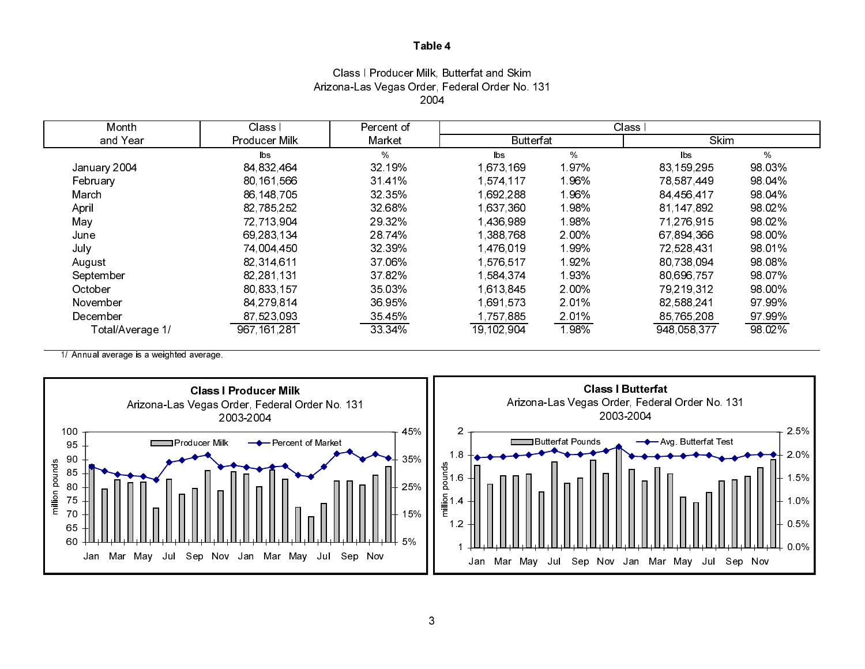# Class I Producer Milk, Butterfat and Skim Arizona-Las Vegas Order, Federal Order No. 131 2004

| Month            | Class I       | Percent of | Class I          |       |                        |         |  |
|------------------|---------------|------------|------------------|-------|------------------------|---------|--|
| and Year         | Producer Milk | Market     | <b>Butterfat</b> |       | Skim                   |         |  |
|                  | lbs.          | %          | lbs              | $\%$  | $\mathsf{b}\mathsf{s}$ | %       |  |
| January 2004     | 84 832 464    | 32.19%     | 1,673,169        | 197%  | 83 159 295             | 98 03%  |  |
| February         | 80, 161, 566  | 3141%      | 1,574,117        | 196%  | 78 587 449             | 98 04%  |  |
| March            | 86,148,705    | 32 35%     | 1,692,288        | 1.96% | 84,456,417             | 98 04%  |  |
| April            | 82 785 252    | 32 68%     | 1,637,360        | 198%  | 81 147 892             | 98.02%  |  |
| May              | 72,713,904    | 29 32%     | 1,436,989        | 198%  | 71,276,915             | 98 02%  |  |
| June             | 69,283,134    | 28.74%     | 1,388,768        | 2.00% | 67,894,366             | 98 00%  |  |
| July             | 74 004 450    | 32 39%     | 1,476,019        | 199%  | 72,528,431             | 98 01%  |  |
| August           | 82 314 611    | 37 06%     | 1,576,517        | 192%  | 80 738 094             | 98 08%  |  |
| September        | 82,281,131    | 37 82%     | 1,584,374        | 193%  | 80,696,757             | 98 07%  |  |
| October          | 80,833,157    | 35 03%     | 1 613 845        | 2.00% | 79,219,312             | 98.00%  |  |
| November         | 84,279,814    | 36 95%     | 1691573          | 2.01% | 82,588,241             | 97 99%  |  |
| December         | 87,523,093    | 35 45%     | 1,757,885        | 201%  | 85,765,208             | 97 99%  |  |
| Total/Average 1/ | 967 161 281   | 33 34%     | 19, 102, 904     | 198%  | 948 058 377            | 98 0 2% |  |

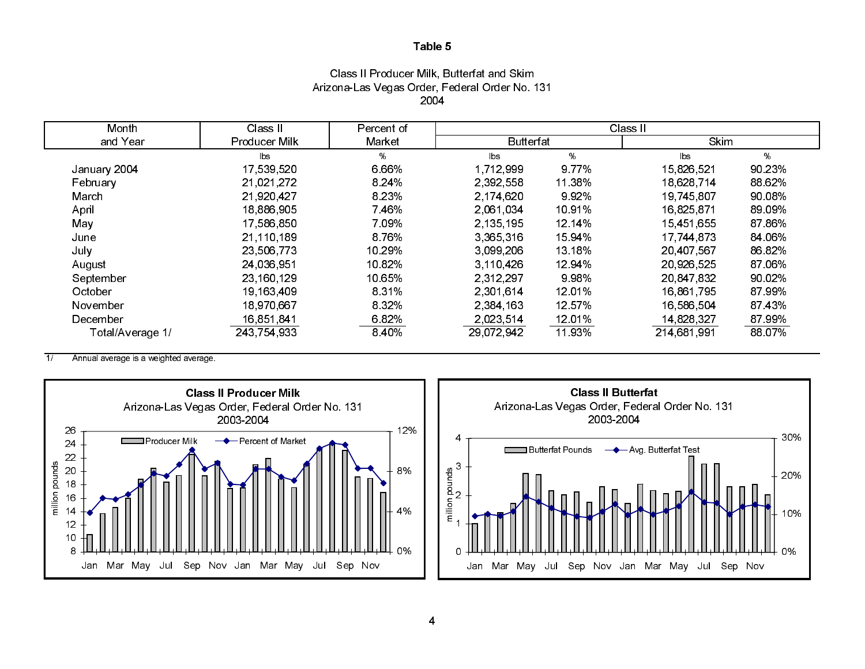# Class II Producer Milk, Butterfat and Skim Arizona-Las Vegas Order, Federal Order No. 131 2004

| Month            | Class II      | Percent of |                  |        | Class II    |        |
|------------------|---------------|------------|------------------|--------|-------------|--------|
| and Year         | Producer Milk | Market     | <b>Butterfat</b> |        | Skim        |        |
|                  | <b>lbs</b>    | %          | $\mathsf{b}$ s   | %      | <b>bs</b>   | %      |
| January 2004     | 17,539,520    | 6.66%      | 1,712,999        | 9 77%  | 15,826,521  | 90 23% |
| February         | 21.021.272    | 8 2 4 %    | 2,392,558        | 11 38% | 18 628 714  | 88 62% |
| March            | 21,920,427    | 8 2 3 %    | 2,174,620        | 992%   | 19 745 807  | 90.08% |
| April            | 18,886,905    | 7 4 6 %    | 2,061,034        | 1091%  | 16,825,871  | 89.09% |
| May              | 17,586,850    | 7 0 9%     | 2.135.195        | 12 14% | 15 451 655  | 87 86% |
| June             | 21,110,189    | 8 7 6%     | 3,365,316        | 15 94% | 17,744,873  | 84.06% |
| July             | 23,506,773    | 10 29%     | 3.099.206        | 13 18% | 20,407,567  | 86 82% |
| August           | 24,036,951    | 10 82%     | 3.110.426        | 12 94% | 20,926,525  | 87 06% |
| September        | 23,160,129    | 10 65%     | 2 3 1 2 2 9 7    | 9 9 8% | 20,847,832  | 90 02% |
| October          | 19,163,409    | 8 3 1%     | 2 301 614        | 1201%  | 16.861.795  | 87 99% |
| November         | 18.970,667    | 8 3 2 %    | 2,384,163        | 12 57% | 16,586,504  | 87 43% |
| December         | 16.851.841    | 6.82%      | 2.023.514        | 1201%  | 14,828,327  | 87 99% |
| Total/Average 1/ | 243,754,933   | 8.40%      | 29,072,942       | 11 93% | 214,681,991 | 88 07% |

 $\overline{1}$ Annual average is a weighted average.



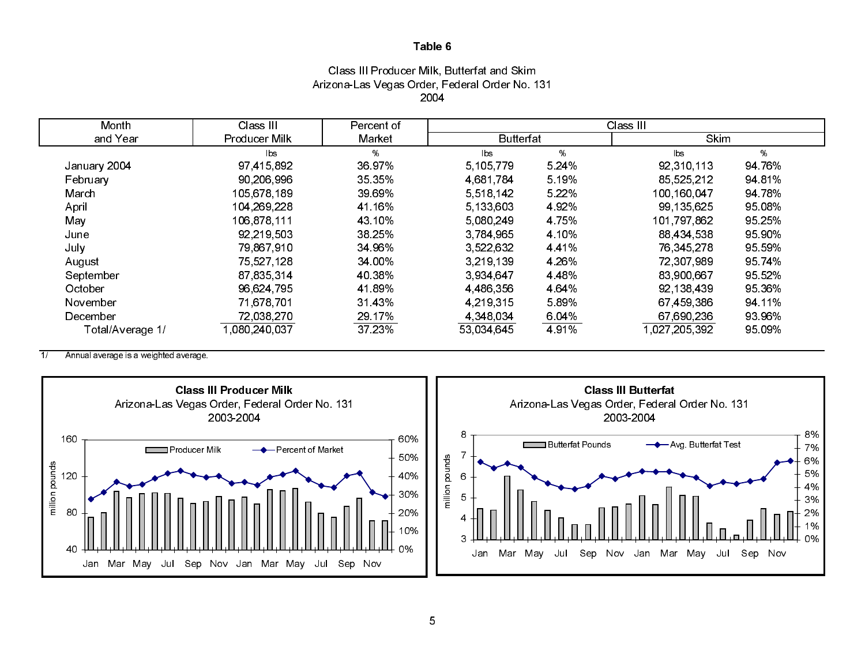# Class III Producer Milk, Butterfat and Skim Arizona-Las Vegas Order, Federal Order No. 131 2004

| Month            | Class III            | Percent of |                  |         | Class III              |        |
|------------------|----------------------|------------|------------------|---------|------------------------|--------|
| and Year         | <b>Producer Milk</b> | Market     | <b>Butterfat</b> |         | Skim                   |        |
|                  | <b>lbs</b>           | %          | lbs              | %       | $\mathsf{b}\mathsf{s}$ | %      |
| January 2004     | 97 415 892           | 36.97%     | 5,105,779        | 5 24%   | 92,310,113             | 94 76% |
| February         | 90 206 996           | 35 35%     | 4.681.784        | 5 19%   | 85 525 212             | 94 81% |
| March            | 105 678 189          | 39 69%     | 5,518,142        | 5 2 2 % | 100,160,047            | 94 78% |
| April            | 104, 269, 228        | 41 16%     | 5,133,603        | 492%    | 99, 135, 625           | 95 08% |
| May              | 106,878,111          | 43 10%     | 5 080 249        | 4 7 5 % | 101 797 862            | 95 25% |
| June             | 92 219 503           | 38 25%     | 3,784,965        | 4 10%   | 88,434,538             | 95 90% |
| July             | 79,867,910           | 34 96%     | 3,522,632        | 441%    | 76,345,278             | 95 59% |
| August           | 75,527,128           | 34.00%     | 3.219.139        | 4 26%   | 72,307,989             | 95 74% |
| September        | 87, 835, 314         | 40 38%     | 3 934 647        | 4 4 8 % | 83,900,667             | 95 52% |
| October          | 96,624,795           | 4189%      | 4,486,356        | 4 64%   | 92, 138, 439           | 95.36% |
| November         | 71,678,701           | 31 43%     | 4.219.315        | 589%    | 67,459,386             | 94 11% |
| December         | 72,038,270           | 29.17%     | 4 348 034        | 6.04%   | 67,690,236             | 93 96% |
| Total/Average 1/ | 1.080.240.037        | 37.23%     | 53,034,645       | 491%    | 1 027 205 392          | 95 09% |

 $\overline{1/}$ Annual average is a weighted average.

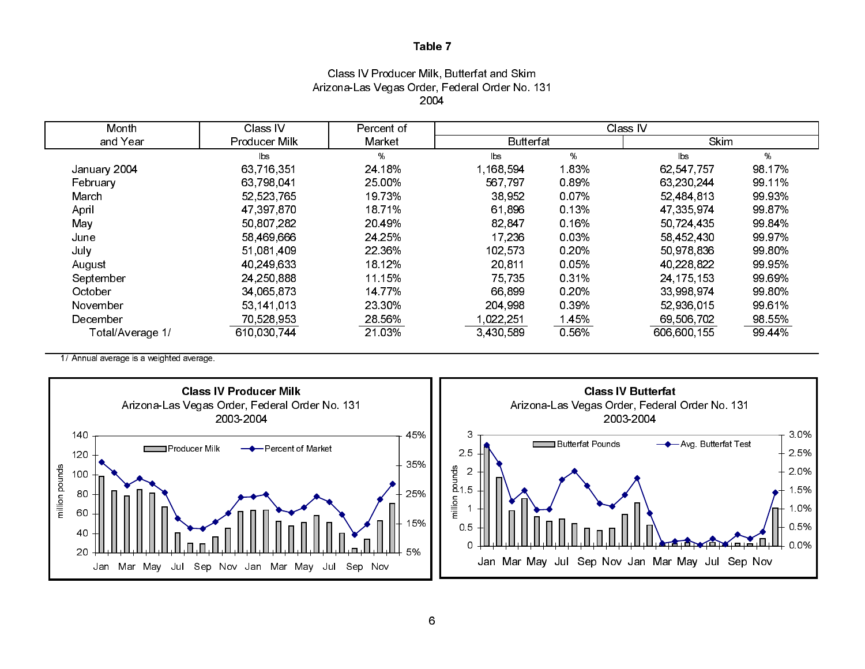# Class IV Producer Milk, Butterfat and Skim Arizona-Las Vegas Order, Federal Order No. 131 2004

| Month            | Class IV      | Percent of | Class IV               |       |             |        |  |
|------------------|---------------|------------|------------------------|-------|-------------|--------|--|
| and Year         | Producer Milk | Market     | <b>Butterfat</b>       |       | <b>Skim</b> |        |  |
|                  | lbs           | %          | $\mathsf{b}\mathsf{s}$ | %     | lbs         | %      |  |
| January 2004     | 63,716,351    | 24 18%     | 1,168,594              | l 83% | 62,547,757  | 98 17% |  |
| February         | 63,798,041    | 25.00%     | 567,797                | 0.89% | 63,230,244  | 99 11% |  |
| March            | 52,523,765    | 19 73%     | 38.952                 | 0.07% | 52,484,813  | 99 93% |  |
| April            | 47,397,870    | 18 71%     | 61 896                 | 0.13% | 47 335 974  | 99 87% |  |
| May              | 50,807,282    | 20 49%     | 82,847                 | 0.16% | 50 724 435  | 99 84% |  |
| June             | 58,469,666    | 24 25%     | 17,236                 | 0.03% | 58 452 430  | 99 97% |  |
| July             | 51,081,409    | 22 36%     | 102,573                | 0.20% | 50,978,836  | 99 80% |  |
| August           | 40 249 633    | 18 12%     | 20,811                 | 0.05% | 40,228,822  | 99 95% |  |
| September        | 24, 250, 888  | 11 15%     | 75 735                 | 0 31% | 24 175 153  | 99 69% |  |
| October          | 34,065,873    | 14 77%     | 66,899                 | 0.20% | 33,998,974  | 99 80% |  |
| November         | 53,141,013    | 23 30%     | 204 998                | 0.39% | 52,936,015  | 99 61% |  |
| December         | 70,528,953    | 28.56%     | 1,022,251              | 1.45% | 69,506,702  | 98.55% |  |
| Total/Average 1/ | 610.030.744   | 21.03%     | 3,430,589              | 0.56% | 606 600 155 | 99 44% |  |

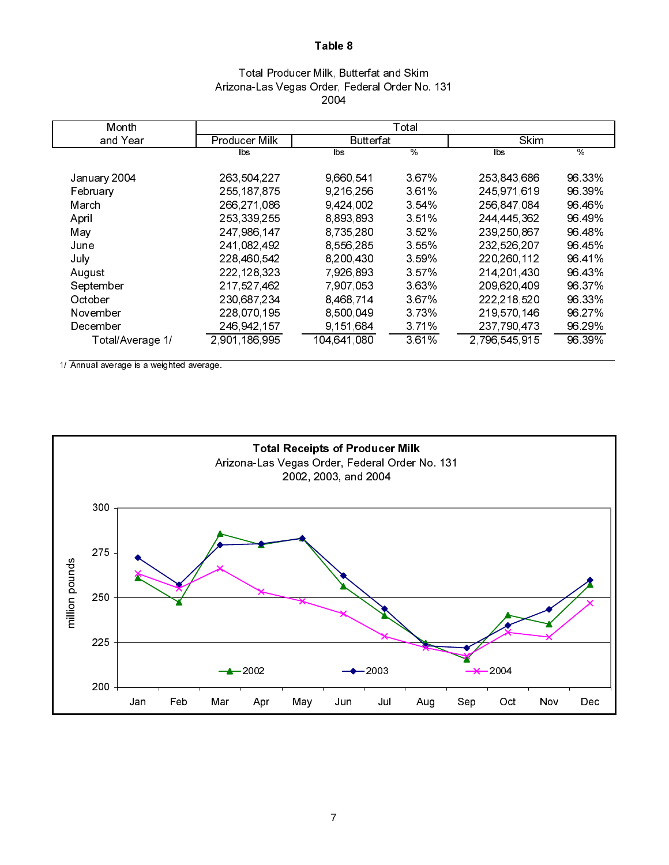# Total Producer Milk, Butterfat and Skim Arizona-Las Vegas Order, Federal Order No. 131 2004

| Month            |               |                  | Total    |               |        |
|------------------|---------------|------------------|----------|---------------|--------|
| and Year         | Producer Milk | <b>Butterfat</b> |          | <b>Skim</b>   |        |
|                  | lbs           | lbs.             | %        | lbs.          | $\%$   |
| January 2004     | 263 504 227   | 9,660,541        | 367%     | 253 843 686   | 96 33% |
| February         | 255 187 875   | 9,216,256        | 361%     | 245 971 619   | 96.39% |
| March            | 266 271 086   | 9,424,002        | $3.54\%$ | 256 847 084   | 96 46% |
| April            | 253 339 255   | 8,893,893        | 3.51%    | 244 445 362   | 96 49% |
| May              | 247,986,147   | 8,735,280        | 3.52%    | 239,250,867   | 96 48% |
| June             | 241 082 492   | 8,556,285        | 3 5 5 %  | 232 526 207   | 96 45% |
| July             | 228 460 542   | 8 200 430        | 3.59%    | 220 260 112   | 9641%  |
| August           | 222, 128, 323 | 7 926 893        | 3.57%    | 214 201 430   | 96 43% |
| September        | 217 527 462   | 7 907 053        | 3.63%    | 209 620 409   | 96 37% |
| October          | 230,687,234   | 8,468,714        | 367%     | 222, 218, 520 | 96 33% |
| November         | 228 070 195   | 8,500,049        | 3.73%    | 219 570 146   | 96 27% |
| December         | 246,942,157   | 9,151,684        | 3.71%    | 237 790 473   | 96 29% |
| Total/Average 1/ | 2,901,186,995 | 104,641,080      | 3.61%    | 2 796 545 915 | 96.39% |
|                  |               |                  |          |               |        |

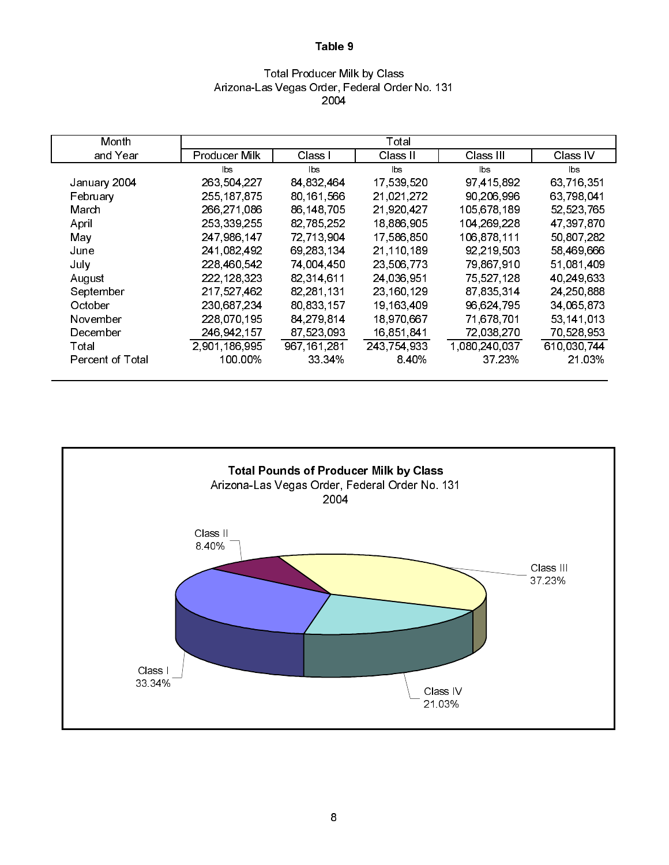## Total Producer Milk by Class Arizona-Las Vegas Order, Federal Order No. 131 2004

| Month            |               |             | Total        |               |             |
|------------------|---------------|-------------|--------------|---------------|-------------|
| and Year         | Producer Milk | Class I     | Class II     | Class III     | Class IV    |
|                  | lbs.          | <b>bs</b>   | lbs          | lbs           | lbs         |
| January 2004     | 263 504 227   | 84,832,464  | 17,539,520   | 97,415,892    | 63,716,351  |
| February         | 255, 187, 875 | 80,161,566  | 21,021,272   | 90,206,996    | 63,798,041  |
| March            | 266,271,086   | 86 148 705  | 21,920,427   | 105,678,189   | 52,523,765  |
| April            | 253 339 255   | 82,785,252  | 18,886,905   | 104 269 228   | 47,397,870  |
| May              | 247,986,147   | 72,713,904  | 17,586,850   | 106 878 111   | 50,807,282  |
| June             | 241,082,492   | 69,283,134  | 21,110,189   | 92,219,503    | 58,469,666  |
| July             | 228 460 542   | 74,004,450  | 23,506,773   | 79,867,910    | 51,081,409  |
| August           | 222, 128, 323 | 82,314,611  | 24,036,951   | 75,527,128    | 40,249,633  |
| September        | 217 527 462   | 82,281,131  | 23, 160, 129 | 87,835,314    | 24,250,888  |
| October          | 230 687 234   | 80,833,157  | 19, 163, 409 | 96,624,795    | 34,065,873  |
| November         | 228,070,195   | 84,279,814  | 18,970,667   | 71,678,701    | 53,141,013  |
| December         | 246 942 157   | 87,523,093  | 16,851,841   | 72,038,270    | 70,528,953  |
| Total            | 2,901,186,995 | 967 161 281 | 243 754 933  | 1,080,240,037 | 610,030,744 |
| Percent of Total | 100 00%       | 33 34%      | 8 40%        | 37.23%        | 21.03%      |

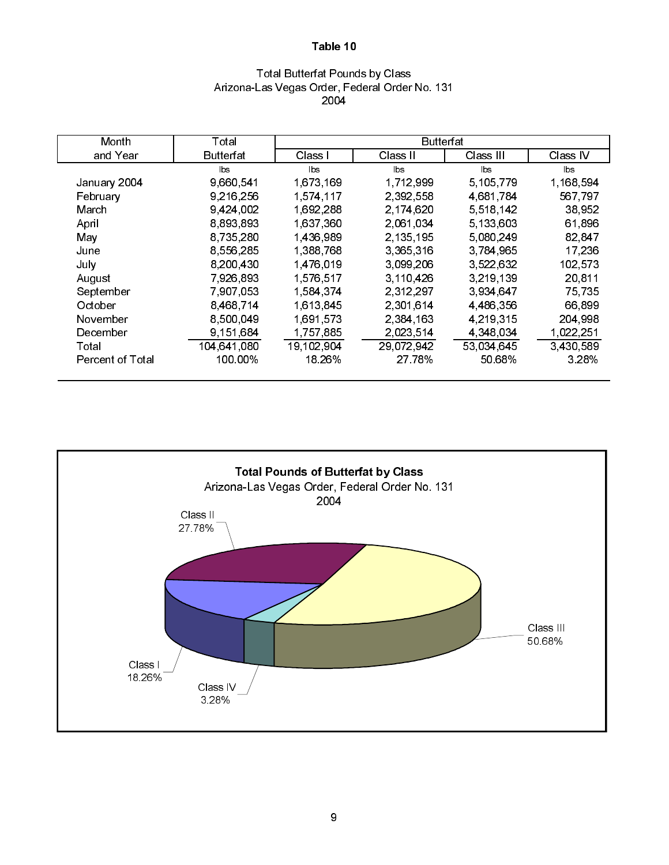# Total Butterfat Pounds by Class Arizona-Las Vegas Order, Federal Order No. 131 2004

| Month            | Total       |            | <b>Butterfat</b> |             |           |
|------------------|-------------|------------|------------------|-------------|-----------|
| and Year         | Butterfat   | Class I    | Class II         | Class III   | Class IV  |
|                  | bs          | lbs.       | lbs.             | lbs.        | $ b$ s    |
| January 2004     | 9,660,541   | 1,673,169  | 1,712,999        | 5,105,779   | 1,168,594 |
| February         | 9,216,256   | 1,574,117  | 2,392,558        | 4,681,784   | 567,797   |
| March            | 9,424,002   | 1,692,288  | 2.174,620        | 5 5 18 14 2 | 38,952    |
| April            | 8,893,893   | 1,637,360  | 2.061.034        | 5,133,603   | 61,896    |
| May              | 8,735,280   | 1,436,989  | 2,135,195        | 5,080,249   | 82 847    |
| June             | 8,556,285   | 1,388,768  | 3,365,316        | 3 784 965   | 17,236    |
| July             | 8,200,430   | 1,476,019  | 3.099,206        | 3.522.632   | 102,573   |
| August           | 7,926,893   | 1,576,517  | 3,110,426        | 3,219,139   | 20 811    |
| September        | 7,907,053   | 1,584,374  | 2 3 1 2 2 9 7    | 3.934.647   | 75 735    |
| October          | 8,468,714   | 1,613,845  | 2,301,614        | 4,486,356   | 66.899    |
| November         | 8,500,049   | 1,691,573  | 2,384,163        | 4.219.315   | 204 998   |
| December         | 9.151.684   | 1757.885   | 2.023.514        | 4 348 034   | 1,022,251 |
| Total            | 104,641,080 | 19,102,904 | 29,072,942       | 53,034,645  | 3,430,589 |
| Percent of Total | 100.00%     | 18 26%     | 27.78%           | 50 68%      | 3.28%     |

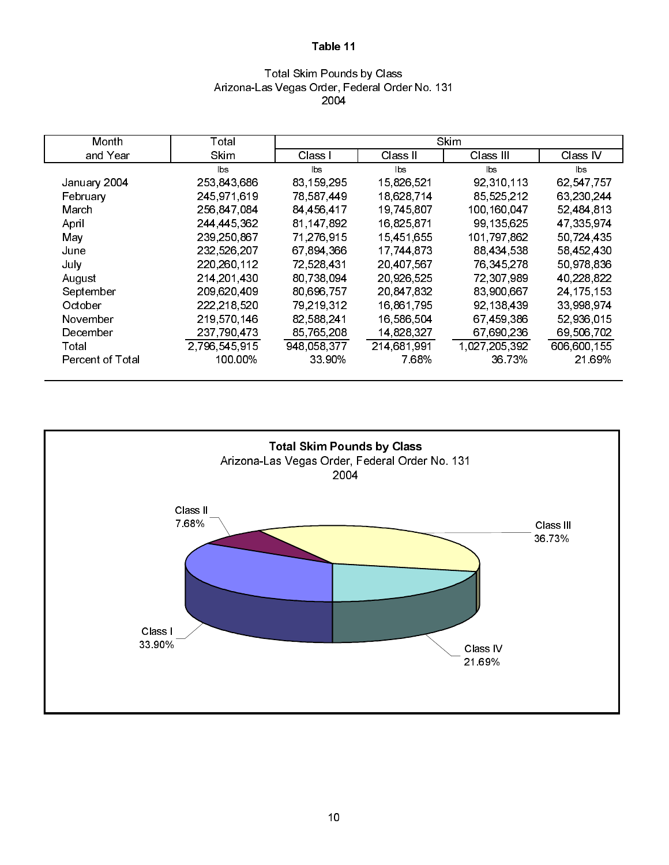# Total Skim Pounds by Class Arizona-Las Vegas Order, Federal Order No. 131 2004

| Month                   | Total         |             |             | Skim          |              |
|-------------------------|---------------|-------------|-------------|---------------|--------------|
| and Year                | <b>Skim</b>   | Class I     | Class II    | Class III     | Class IV     |
|                         | lbs           | lbs         | lbs         | lbs           | lbs          |
| January 2004            | 253,843,686   | 83,159,295  | 15,826,521  | 92,310,113    | 62,547,757   |
| February                | 245 971 619   | 78,587,449  | 18,628,714  | 85,525,212    | 63,230,244   |
| March                   | 256,847,084   | 84 456 417  | 19,745,807  | 100,160,047   | 52,484,813   |
| April                   | 244 445 362   | 81 147 892  | 16,825,871  | 99.135.625    | 47 335 974   |
| May                     | 239,250,867   | 71.276.915  | 15,451,655  | 101 797 862   | 50,724,435   |
| June                    | 232,526,207   | 67,894,366  | 17 744 873  | 88,434,538    | 58,452,430   |
| July                    | 220, 260, 112 | 72,528,431  | 20,407,567  | 76 345 278    | 50,978,836   |
| August                  | 214, 201, 430 | 80.738.094  | 20,926,525  | 72,307,989    | 40,228,822   |
| September               | 209 620 409   | 80,696,757  | 20,847,832  | 83,900,667    | 24, 175, 153 |
| October                 | 222,218,520   | 79,219,312  | 16,861,795  | 92,138,439    | 33,998,974   |
| November                | 219 570 146   | 82,588,241  | 16,586,504  | 67,459,386    | 52,936,015   |
| December                | 237 790 473   | 85,765,208  | 14,828,327  | 67,690,236    | 69,506,702   |
| Total                   | 2,796,545,915 | 948 058 377 | 214,681,991 | 1,027,205,392 | 606,600,155  |
| <b>Percent of Total</b> | 100.00%       | 33 90%      | 7 68%       | 36 73%        | 21.69%       |

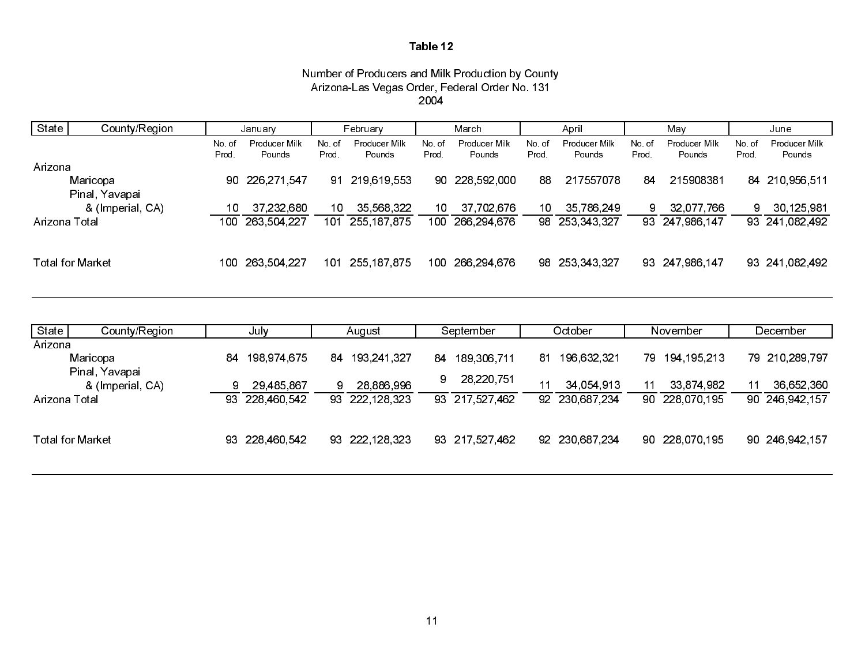### Number of Producers and Milk Production by County Arizona-Las Vegas Order, Federal Order No. 131 2004

| State<br>County/Region<br>January          | February                                  | March                                     | April                                     | May                                        | June                                       |
|--------------------------------------------|-------------------------------------------|-------------------------------------------|-------------------------------------------|--------------------------------------------|--------------------------------------------|
| Producer Milk<br>No.of<br>Pounds<br>Prod.  | Producer Milk<br>No.of<br>Prod.<br>Pounds | Producer Milk<br>No.of<br>Pounds<br>Prod. | Producer Milk<br>No of<br>Pounds<br>Prod. | Producer Milk<br>No. of<br>Pounds<br>Prod. | Producer Milk<br>No. of<br>Pounds<br>Prod. |
| Arizona                                    |                                           |                                           |                                           |                                            |                                            |
| Maricopa<br>90 226,271,547                 | 91 219 619 553                            | 90 228 592 000                            | 217557078<br>88                           | 215908381<br>84.                           | 84 210 956 511                             |
| Pinal, Yavapai                             |                                           |                                           |                                           |                                            |                                            |
| 37,232,680<br>& (Imperial, CA)             | 35,568,322<br>10                          | 37 702 676<br>10                          | 35,786,249<br>10                          | 32,077,766                                 | 30,125,981                                 |
| 100 263 504 227<br>Arizona Total           | 101 255 187 875                           | 100 266 294 676                           | 98 253 343 327                            | 93 247 986 147                             | 93 241 082 492                             |
|                                            |                                           |                                           |                                           |                                            |                                            |
| <b>Total for Market</b><br>100 263 504 227 | 101 255,187,875                           | 100 266 294 676                           | 98 253 343 327                            | 93 247 986 147                             | 93 241 082 492                             |

| State         | County/Region                      | July |                | August |                | September |                | October |                | November |                | December |                |
|---------------|------------------------------------|------|----------------|--------|----------------|-----------|----------------|---------|----------------|----------|----------------|----------|----------------|
| Arizona       |                                    |      |                |        |                |           |                |         |                |          |                |          |                |
|               | Maricopa                           | 84   | 198 974 675    | 84     | 193 241 327    | 84        | 189 306 711    | 81.     | 196 632 321    | 79.      | 194 195 213    |          | 79 210 289 797 |
|               | Pinal, Yavapai<br>& (Imperial, CA) |      | 29,485,867     |        | 28,886,996     | 9         | 28,220,751     |         | 34 054 913     |          | 33 874 982     | 11       | 36,652,360     |
| Arizona Total |                                    | 93.  | 228 460 542    |        | 93 222 128 323 |           | 93 217 527 462 |         | 92 230 687 234 |          | 90 228 070 195 |          | 90 246 942 157 |
|               |                                    |      |                |        |                |           |                |         |                |          |                |          |                |
|               | <b>Total for Market</b>            |      | 93 228 460 542 |        | 93 222 128 323 |           | 93 217 527 462 |         | 92 230 687 234 |          | 90 228 070 195 |          | 90 246 942 157 |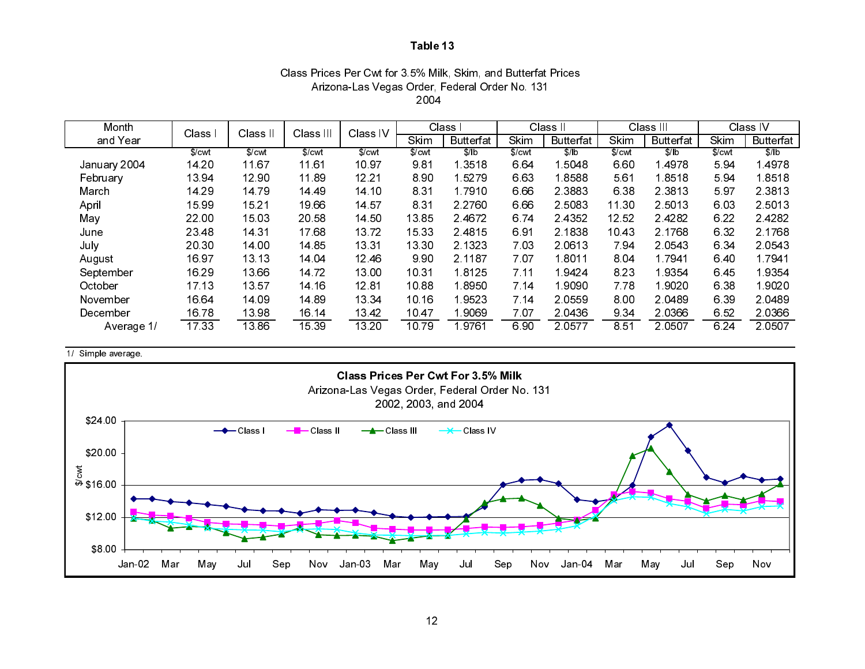# Class Prices Per Cwt for 3.5% Milk, Skim, and Butterfat Prices Arizona-Las Vegas Order, Federal Order No. 131 2004

| Month        | Class I | Class II | Class III | Class IV |        | Class I          |        | Class II         |        | Class III        |        | Class IV         |
|--------------|---------|----------|-----------|----------|--------|------------------|--------|------------------|--------|------------------|--------|------------------|
| and Year     |         |          |           |          | Skim   | <b>Butterfat</b> | Skim   | <b>Butterfat</b> | Skim   | <b>Butterfat</b> | Skim   | <b>Butterfat</b> |
|              | \$/cwt  | \$/cwt   | \$/cwt    | \$/cwt   | \$/cwt | S/1b             | \$/cwt | \$/lb            | \$/cwt | \$/lb            | \$/cwt | \$/lb            |
| January 2004 | 14 20   | 11 67    | 11.61     | 10 97    | 9.81   | 1 3518           | 6.64   | 5048             | 6.60   | 4978             | 5.94   | 14978            |
| February     | 13 94   | 12 90    | 11.89     | 12.21    | 890    | 15279            | 663    | 18588            | 561    | 18518            | 594    | 18518            |
| March        | 14 29   | 1479     | 14 49     | 14 10    | 8.31   | 1.7910           | 6.66   | 2.3883           | 6 3 8  | 2 3 8 1 3        | 597    | 2.3813           |
| April        | 15 99   | 15 21    | 19.66     | 14 57    | 8.31   | 2 2 7 6 0        | 6.66   | 2 5 0 8 3        | 11.30  | 2 5 0 1 3        | 603    | 2 5013           |
| May          | 22.00   | 15 03    | 20 58     | 14 50    | 1385   | 24672            | 674    | 2 4 3 5 2        | 12 52  | 24282            | 6 2 2  | 2.4282           |
| June         | 23 48   | 14 31    | 1768      | 1372     | 15 33  | 24815            | 6.91   | 2.1838           | 1043   | 2.1768           | 632    | 2.1768           |
| July         | 20 30   | 14.00    | 14 85     | 13.31    | 13 30  | 2 1 3 2 3        | 703    | 2.0613           | 794    | 2 0 5 4 3        | 6 3 4  | 2.0543           |
| August       | 16 97   | 13 13    | 14 04     | 1246     | 990    | 2.1187           | 707    | 1.8011           | 8.04   | 1 7 9 4 1        | 6.40   | 17941            |
| September    | 16.29   | 13 66    | 14.72     | 13.00    | 10.31  | 18125            | 7.11   | 19424            | 8 2 3  | 19354            | 645    | 19354            |
| October      | 17.13   | 13 57    | 14 16     | 1281     | 10.88  | 18950            | 7.14   | 1.9090           | 7 78   | 1.9020           | 638    | 1 9020           |
| November     | 16.64   | 14 09    | 14 89     | 13 34    | 10.16  | 19523            | 7 14   | 2 0 5 5 9        | 8.00   | 2 0 4 8 9        | 639    | 2.0489           |
| December     | 1678    | 13 98    | 16 14     | 13 4 2   | 1047   | 19069            | 707    | 2 04 36          | 9 3 4  | 2 0 3 6 6        | 652    | 2 0 3 6 6        |
| Average 1/   | 17 33   | 13.86    | 15 39     | 13 20    | 10.79  | 19761            | 690    | 2 0 5 7 7        | 8.51   | 2 0 5 0 7        | 6 2 4  | 2 0 5 0 7        |

1/ Simple average.

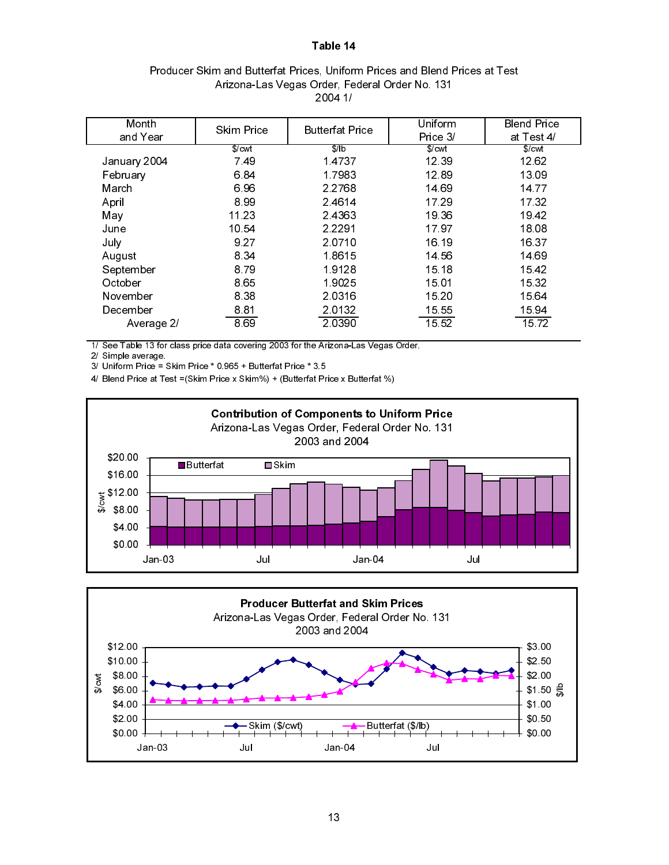| Producer Skim and Butterfat Prices, Uniform Prices and Blend Prices at Test |
|-----------------------------------------------------------------------------|
| Arizona-Las Vegas Order, Federal Order No. 131                              |
| 2004 1/                                                                     |

| Month        | <b>Skim Price</b>  | <b>Butterfat Price</b> | Uniform  | <b>Blend Price</b> |
|--------------|--------------------|------------------------|----------|--------------------|
| and Year     |                    |                        | Price 3/ | at Test 4/         |
|              | $S$ / $\text{cwt}$ | $\sqrt{\frac{1}{b}}$   | S/cwt    | \$/cut             |
| January 2004 | 7.49               | 14737                  | 12 39    | 12.62              |
| February     | 684                | 1.7983                 | 12.89    | 13.09              |
| March        | 696                | 2.2768                 | 14 69    | 14 77              |
| April        | 899                | 2 4 6 1 4              | 17 29    | 17.32              |
| May          | 11 23              | 24363                  | 19 36    | 1942               |
| June         | 10 54              | 2 2 2 9 1              | 1797     | 18.08              |
| July         | 9.27               | 2.0710                 | 16 19    | 16.37              |
| August       | 8 3 4              | 1.8615                 | 14 56    | 14 69              |
| September    | 879                | 19128                  | 15 18    | 1542               |
| October      | 8.65               | 19025                  | 15.01    | 15 32              |
| November     | 8 3 8              | 2 0 3 1 6              | 15 20    | 15 64              |
| December     | 8.81               | 20132                  | 15 55    | 15 94              |
| Average 2/   | 8.69               | 2 0 3 9 0              | 15 52    | 1572               |

1/ See Table 13 for class price data covering 2003 for the Arizona-Las Vegas Order.

2/ Simple average.

3/ Uniform Price = Skim Price \* 0.965 + Butterfat Price \* 3.5

4/ Blend Price at Test =(Skim Price x Skim%) + (Butterfat Price x Butterfat %)



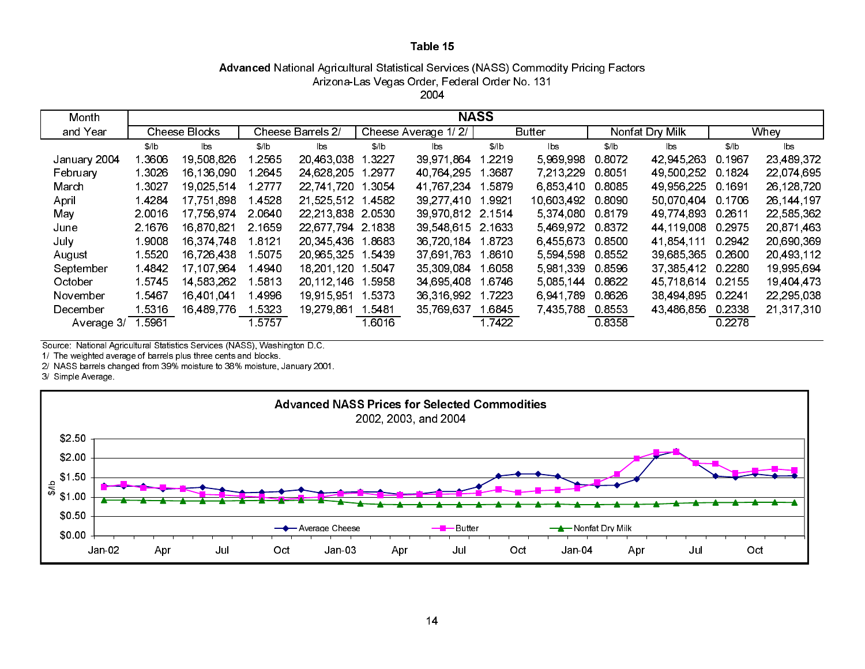# Advanced National Agricultural Statistical Services (NASS) Commodity Pricing Factors Arizona-Las Vegas Order, Federal Order No. 131

2004

| Month        | <b>NASS</b> |                                           |        |                   |                     |            |               |               |                 |              |         |              |
|--------------|-------------|-------------------------------------------|--------|-------------------|---------------------|------------|---------------|---------------|-----------------|--------------|---------|--------------|
| and Year     |             | Cheese Barrels 2/<br><b>Cheese Blocks</b> |        |                   | Cheese Average 1/2/ |            | <b>Butter</b> |               | Nonfat Dry Milk | Whey         |         |              |
|              | \$/ b       | lbs                                       | \$/ b  | lbs               | \$/ b               | lbs        | \$/ b         | lbs.          | \$/ b           | lbs.         | \$/lb   | lbs          |
| January 2004 | 3606        | 19 508 826                                | l 2565 | 20 463 038        | 3227                | 39,971,864 | 2219          | 5.969.998     | 0.8072          | 42 945 263   | 0.1967  | 23,489,372   |
| February     | 1 3026      | 16,136,090                                | 1.2645 | 24,628,205        | 2977                | 40 764 295 | 3687          | 7.213.229     | 0 8051          | 49 500 252   | 0.1824  | 22,074,695   |
| March        | 1 3027      | 19 025 514                                | 1 2777 | 22 741 720        | 3054                | 41 767 234 | 5879          | 6.853.410     | 0.8085          | 49 956 225   | 0.1691  | 26,128,720   |
| April        | 1 4284      | 17,751,898                                | l 4528 | 21.525.512        | 4582                | 39 277 410 | .9921         | 10,603,492    | 0.8090          | 50.070.404   | 0.1706  | 26, 144, 197 |
| May          | 2 0016      | 17,756,974                                | 2.0640 | 22 213 838        | 2.0530              | 39,970,812 | 2 1514        | 5 374 080     | 0.8179          | 49 774 893   | 0 26 11 | 22,585,362   |
| June         | 2.1676      | 16,870,821                                | 2.1659 | 22 677 794 2 1838 |                     | 39 548 615 | 2 1633        | 5 469 972     | 0 8372          | 44 119 008   | 0.2975  | 20.871.463   |
| July         | 1 9008      | 16,374,748                                | 18121  | 20 345 436        | 18683               | 36 720 184 | 1.8723        | 6.455.673     | 0.8500          | 41 854 111   | 0.2942  | 20,690,369   |
| August       | 1 5520      | 16,726,438                                | 1 5075 | 20,965,325        | 1.5439              | 37 691 763 | 1.8610        | 5 5 9 4 5 9 8 | 0.8552          | 39,685,365   | 0.2600  | 20,493,112   |
| September    | 14842       | 17, 107, 964                              | 14940  | 18,201,120        | l 5047              | 35 309 084 | 1.6058        | 5 981 339     | 0.8596          | 37, 385, 412 | 0.2280  | 19 995 694   |
| October      | 15745       | 14 583 262                                | l 5813 | 20 112 146        | 5958                | 34 695 408 | l 6746        | 5 085 144     | 0.8622          | 45 718 614   | 0.2155  | 19,404,473   |
| November     | 15467       | 16 401 041                                | 4996   | 19 915 951        | 5373                | 36,316,992 | 7223          | 6.941.789     | 0.8626          | 38 494 895   | 0.2241  | 22,295,038   |
| December     | 1.5316      | 16 489 776                                | 15323  | 19 279 861        | 1 5481              | 35,769,637 | 16845         | 7 435 788     | 0.8553          | 43,486,856   | 0.2338  | 21,317,310   |
| Average 3/   | 5961        |                                           | 1.5757 |                   | 16016               |            | 1 7 4 2 2     |               | 0.8358          |              | 0.2278  |              |

Source: National Agricultural Statistics Services (NASS), Washington D.C.

1/ The weighted average of barrels plus three cents and blocks.

2/ NASS barrels changed from 39% moisture to 38% moisture, January 2001.

3/ Simple Average.